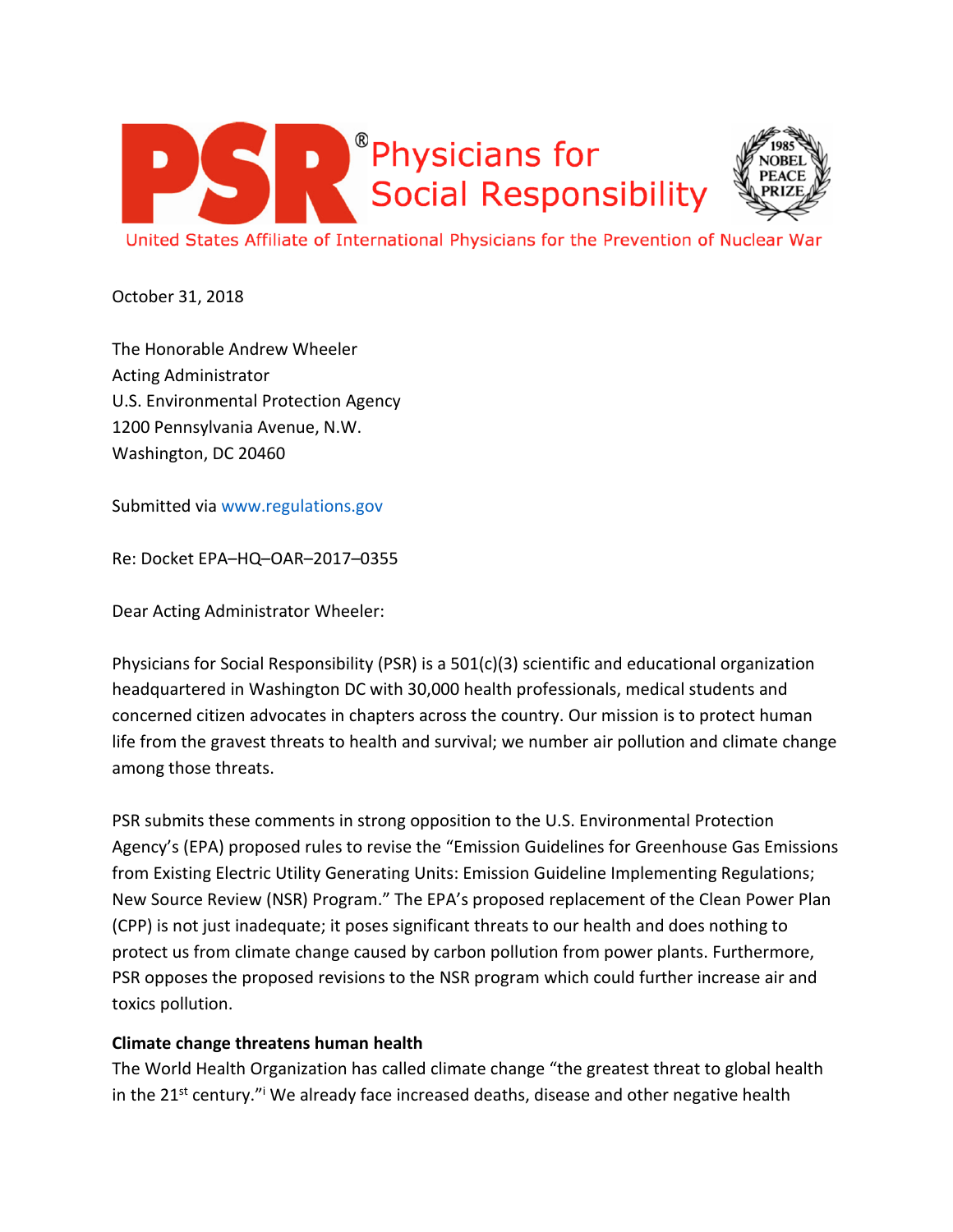



United States Affiliate of International Physicians for the Prevention of Nuclear War

October 31, 2018

The Honorable Andrew Wheeler Acting Administrator U.S. Environmental Protection Agency 1200 Pennsylvania Avenue, N.W. Washington, DC 20460

Submitted via www.regulations.gov

Re: Docket EPA–HQ–OAR–2017–0355

Dear Acting Administrator Wheeler:

Physicians for Social Responsibility (PSR) is a 501(c)(3) scientific and educational organization headquartered in Washington DC with 30,000 health professionals, medical students and concerned citizen advocates in chapters across the country. Our mission is to protect human life from the gravest threats to health and survival; we number air pollution and climate change among those threats.

PSR submits these comments in strong opposition to the U.S. Environmental Protection Agency's (EPA) proposed rules to revise the "Emission Guidelines for Greenhouse Gas Emissions from Existing Electric Utility Generating Units: Emission Guideline Implementing Regulations; New Source Review (NSR) Program." The EPA's proposed replacement of the Clean Power Plan (CPP) is not just inadequate; it poses significant threats to our health and does nothing to protect us from climate change caused by carbon pollution from power plants. Furthermore, PSR opposes the proposed revisions to the NSR program which could further increase air and toxics pollution.

## **Climate change threatens human health**

The World Health Organization has called climate change "the greatest threat to global health in the 21<sup>st</sup> century."<sup>i</sup> We already face increased deaths, disease and other negative health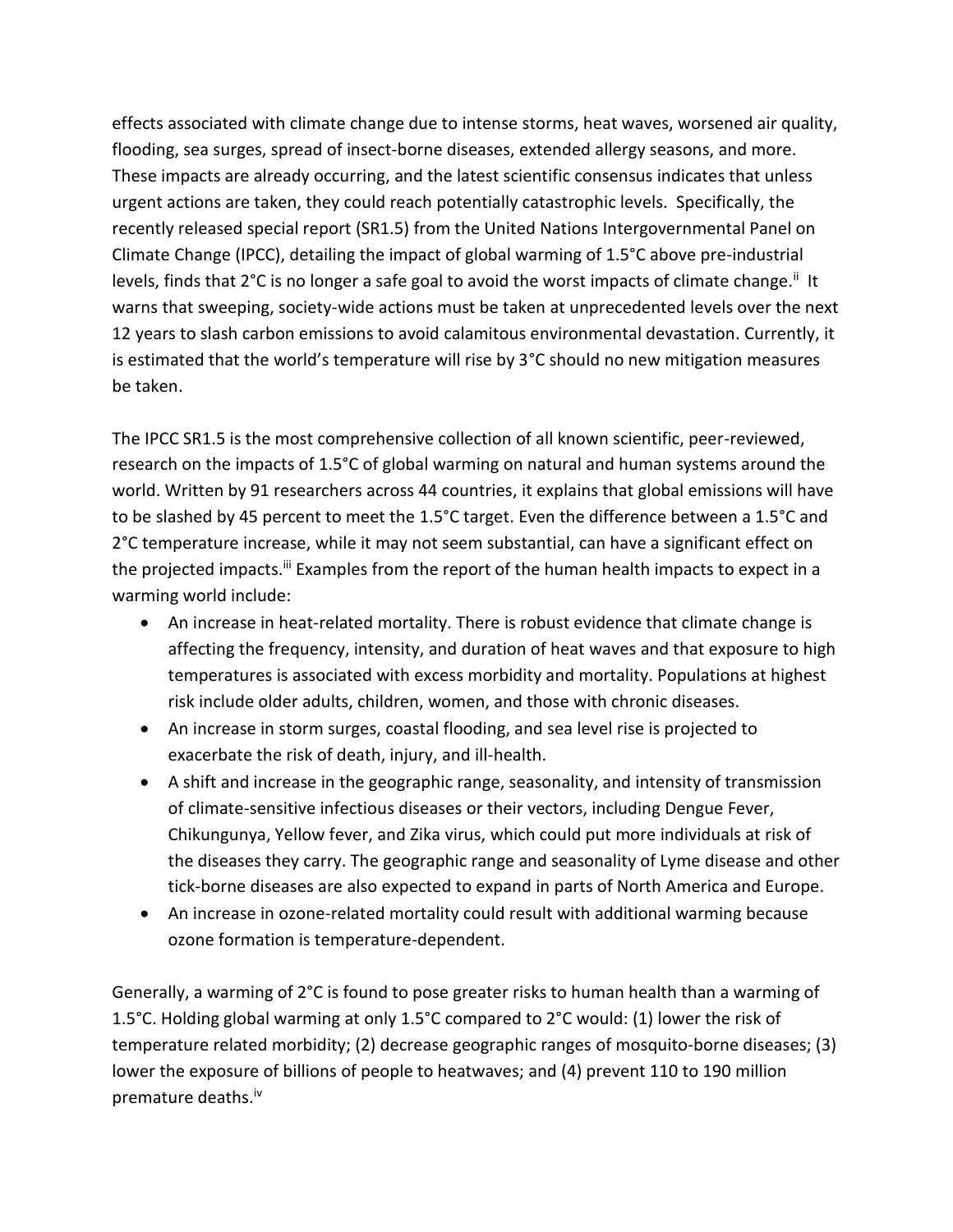effects associated with climate change due to intense storms, heat waves, worsened air quality, flooding, sea surges, spread of insect-borne diseases, extended allergy seasons, and more. These impacts are already occurring, and the latest scientific consensus indicates that unless urgent actions are taken, they could reach potentially catastrophic levels. Specifically, the recently released special report (SR1.5) from the United Nations Intergovernmental Panel on Climate Change (IPCC), detailing the impact of global warming of 1.5°C above pre-industrial levels, finds that 2°C is no longer a safe goal to avoid the worst impacts of climate change.<sup>ii</sup> It warns that sweeping, society-wide actions must be taken at unprecedented levels over the next 12 years to slash carbon emissions to avoid calamitous environmental devastation. Currently, it is estimated that the world's temperature will rise by 3°C should no new mitigation measures be taken.

The IPCC SR1.5 is the most comprehensive collection of all known scientific, peer-reviewed, research on the impacts of 1.5°C of global warming on natural and human systems around the world. Written by 91 researchers across 44 countries, it explains that global emissions will have to be slashed by 45 percent to meet the 1.5°C target. Even the difference between a 1.5°C and 2°C temperature increase, while it may not seem substantial, can have a significant effect on the projected impacts.<sup>iii</sup> Examples from the report of the human health impacts to expect in a warming world include:

- An increase in heat-related mortality. There is robust evidence that climate change is affecting the frequency, intensity, and duration of heat waves and that exposure to high temperatures is associated with excess morbidity and mortality. Populations at highest risk include older adults, children, women, and those with chronic diseases.
- An increase in storm surges, coastal flooding, and sea level rise is projected to exacerbate the risk of death, injury, and ill-health.
- A shift and increase in the geographic range, seasonality, and intensity of transmission of climate-sensitive infectious diseases or their vectors, including Dengue Fever, Chikungunya, Yellow fever, and Zika virus, which could put more individuals at risk of the diseases they carry. The geographic range and seasonality of Lyme disease and other tick-borne diseases are also expected to expand in parts of North America and Europe.
- An increase in ozone-related mortality could result with additional warming because ozone formation is temperature-dependent.

Generally, a warming of 2°C is found to pose greater risks to human health than a warming of 1.5°C. Holding global warming at only 1.5°C compared to 2°C would: (1) lower the risk of temperature related morbidity; (2) decrease geographic ranges of mosquito-borne diseases; (3) lower the exposure of billions of people to heatwaves; and (4) prevent 110 to 190 million premature deaths.iv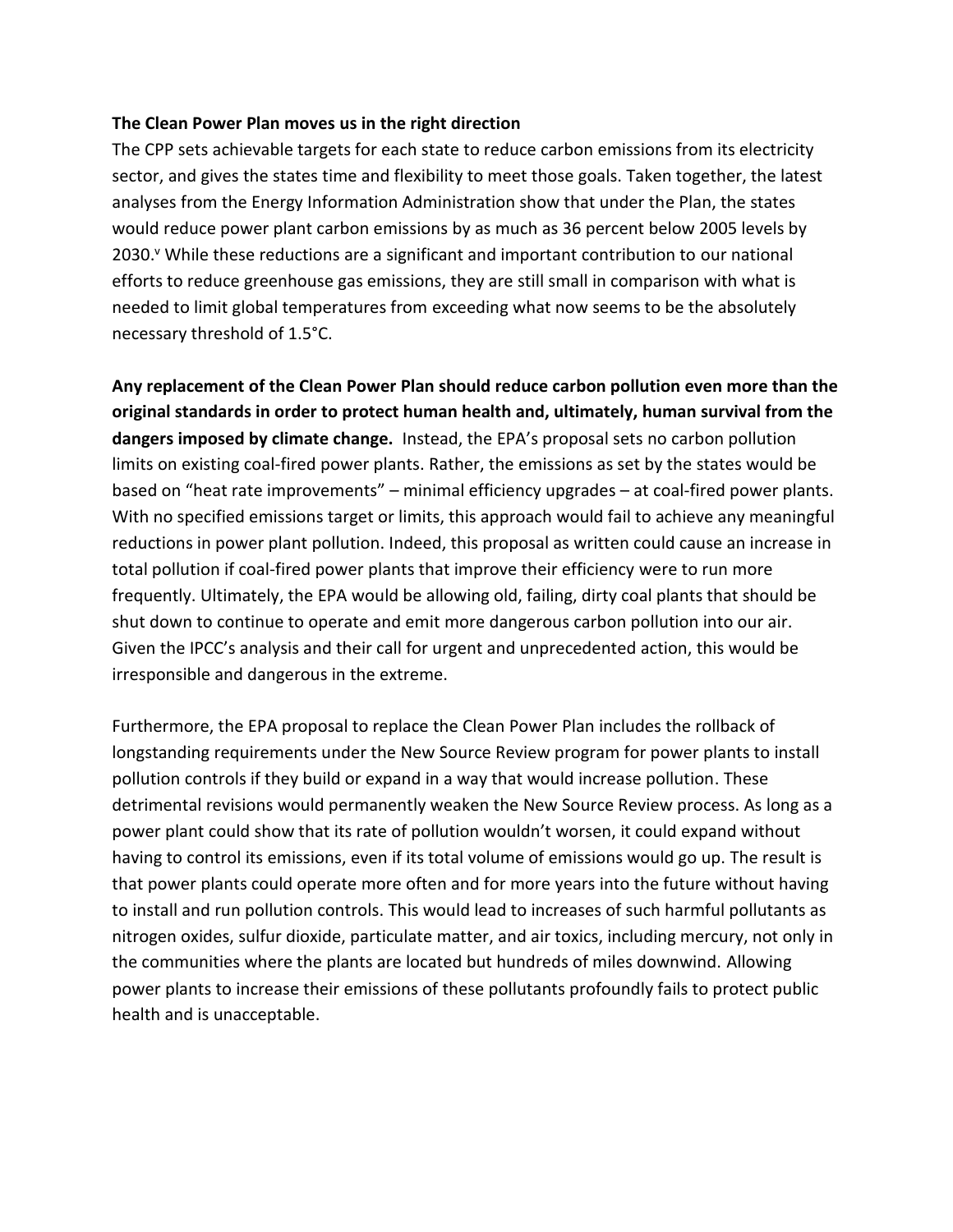## **The Clean Power Plan moves us in the right direction**

The CPP sets achievable targets for each state to reduce carbon emissions from its electricity sector, and gives the states time and flexibility to meet those goals. Taken together, the latest analyses from the Energy Information Administration show that under the Plan, the states would reduce power plant carbon emissions by as much as 36 percent below 2005 levels by 2030.<sup>v</sup> While these reductions are a significant and important contribution to our national efforts to reduce greenhouse gas emissions, they are still small in comparison with what is needed to limit global temperatures from exceeding what now seems to be the absolutely necessary threshold of 1.5°C.

**Any replacement of the Clean Power Plan should reduce carbon pollution even more than the original standards in order to protect human health and, ultimately, human survival from the dangers imposed by climate change.** Instead, the EPA's proposal sets no carbon pollution limits on existing coal-fired power plants. Rather, the emissions as set by the states would be based on "heat rate improvements" – minimal efficiency upgrades – at coal-fired power plants. With no specified emissions target or limits, this approach would fail to achieve any meaningful reductions in power plant pollution. Indeed, this proposal as written could cause an increase in total pollution if coal-fired power plants that improve their efficiency were to run more frequently. Ultimately, the EPA would be allowing old, failing, dirty coal plants that should be shut down to continue to operate and emit more dangerous carbon pollution into our air. Given the IPCC's analysis and their call for urgent and unprecedented action, this would be irresponsible and dangerous in the extreme.

Furthermore, the EPA proposal to replace the Clean Power Plan includes the rollback of longstanding requirements under the New Source Review program for power plants to install pollution controls if they build or expand in a way that would increase pollution. These detrimental revisions would permanently weaken the New Source Review process. As long as a power plant could show that its rate of pollution wouldn't worsen, it could expand without having to control its emissions, even if its total volume of emissions would go up. The result is that power plants could operate more often and for more years into the future without having to install and run pollution controls. This would lead to increases of such harmful pollutants as nitrogen oxides, sulfur dioxide, particulate matter, and air toxics, including mercury, not only in the communities where the plants are located but hundreds of miles downwind. Allowing power plants to increase their emissions of these pollutants profoundly fails to protect public health and is unacceptable.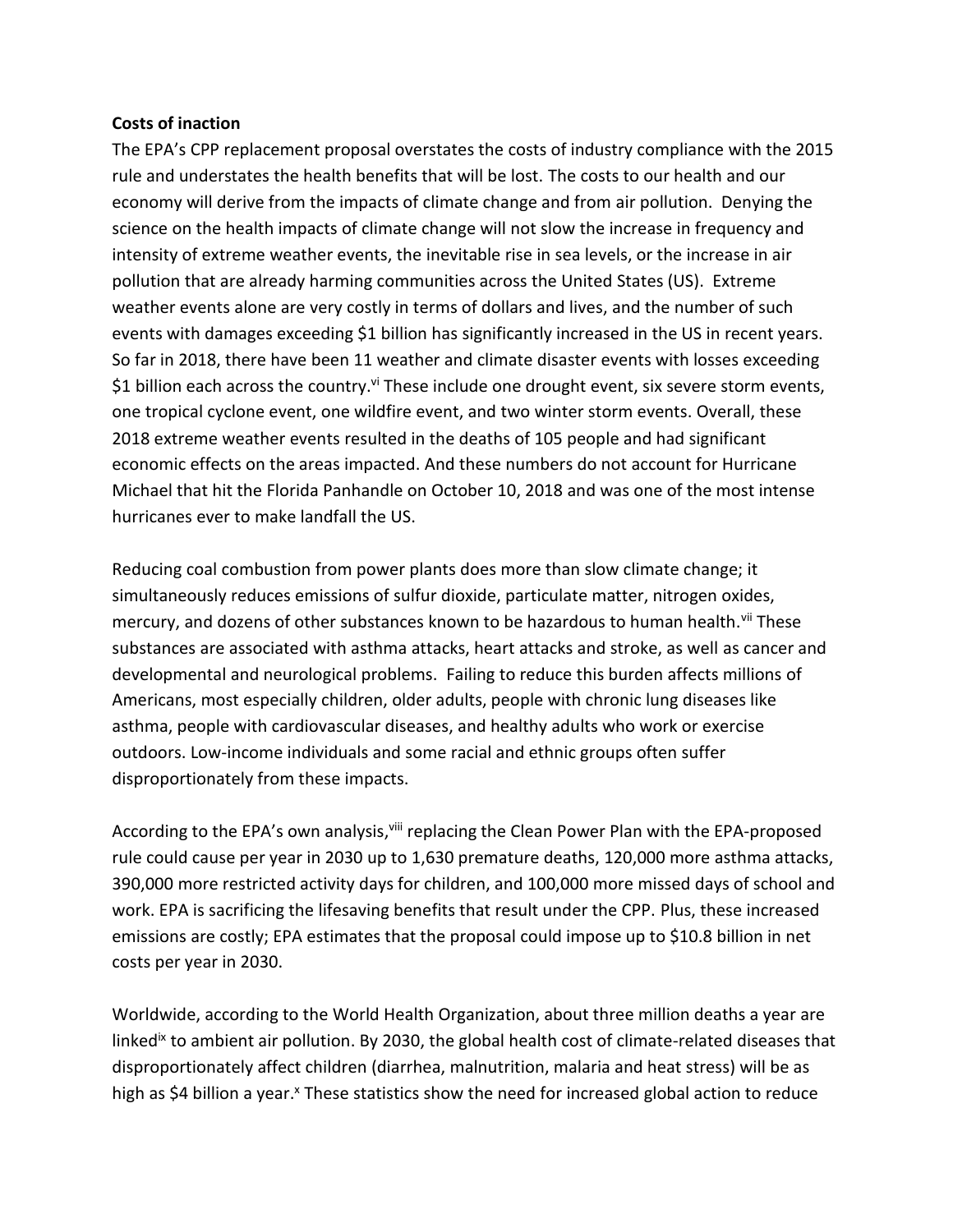## **Costs of inaction**

The EPA's CPP replacement proposal overstates the costs of industry compliance with the 2015 rule and understates the health benefits that will be lost. The costs to our health and our economy will derive from the impacts of climate change and from air pollution. Denying the science on the health impacts of climate change will not slow the increase in frequency and intensity of extreme weather events, the inevitable rise in sea levels, or the increase in air pollution that are already harming communities across the United States (US). Extreme weather events alone are very costly in terms of dollars and lives, and the number of such events with damages exceeding \$1 billion has significantly increased in the US in recent years. So far in 2018, there have been 11 weather and climate disaster events with losses exceeding \$1 billion each across the country.<sup>vi</sup> These include one drought event, six severe storm events, one tropical cyclone event, one wildfire event, and two winter storm events. Overall, these 2018 extreme weather events resulted in the deaths of 105 people and had significant economic effects on the areas impacted. And these numbers do not account for Hurricane Michael that hit the Florida Panhandle on October 10, 2018 and was one of the most intense hurricanes ever to make landfall the US.

Reducing coal combustion from power plants does more than slow climate change; it simultaneously reduces emissions of sulfur dioxide, particulate matter, nitrogen oxides, mercury, and dozens of other substances known to be hazardous to human health.<sup>vii</sup> These substances are associated with asthma attacks, heart attacks and stroke, as well as cancer and developmental and neurological problems. Failing to reduce this burden affects millions of Americans, most especially children, older adults, people with chronic lung diseases like asthma, people with cardiovascular diseases, and healthy adults who work or exercise outdoors. Low-income individuals and some racial and ethnic groups often suffer disproportionately from these impacts.

According to the EPA's own analysis, iii replacing the Clean Power Plan with the EPA-proposed rule could cause per year in 2030 up to 1,630 premature deaths, 120,000 more asthma attacks, 390,000 more restricted activity days for children, and 100,000 more missed days of school and work. EPA is sacrificing the lifesaving benefits that result under the CPP. Plus, these increased emissions are costly; EPA estimates that the proposal could impose up to \$10.8 billion in net costs per year in 2030.

Worldwide, according to the World Health Organization, about three million deaths a year are linked<sup>ix</sup> to ambient air pollution. By 2030, the global health cost of climate-related diseases that disproportionately affect children (diarrhea, malnutrition, malaria and heat stress) will be as high as \$4 billion a year.<sup>x</sup> These statistics show the need for increased global action to reduce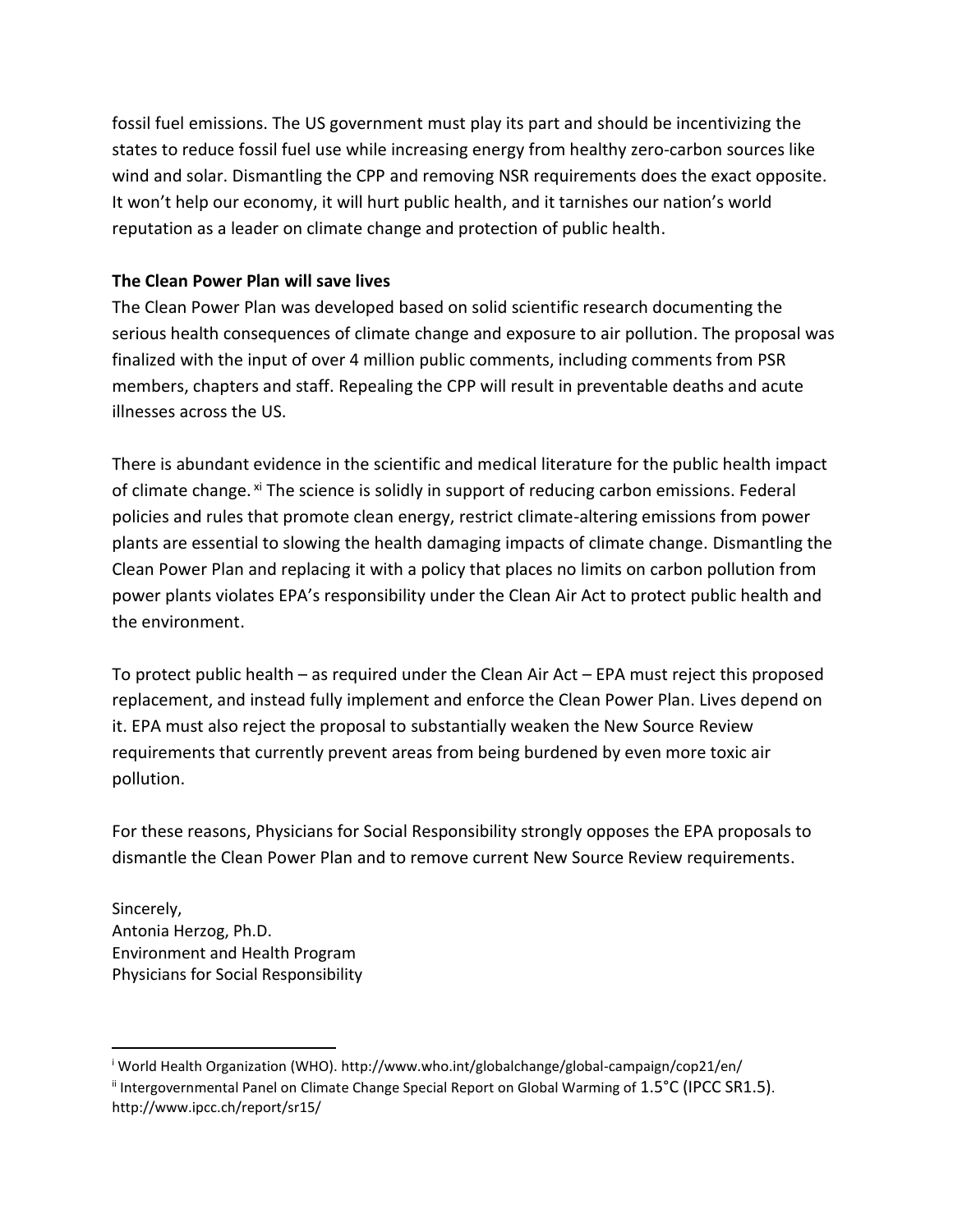fossil fuel emissions. The US government must play its part and should be incentivizing the states to reduce fossil fuel use while increasing energy from healthy zero-carbon sources like wind and solar. Dismantling the CPP and removing NSR requirements does the exact opposite. It won't help our economy, it will hurt public health, and it tarnishes our nation's world reputation as a leader on climate change and protection of public health.

## **The Clean Power Plan will save lives**

The Clean Power Plan was developed based on solid scientific research documenting the serious health consequences of climate change and exposure to air pollution. The proposal was finalized with the input of over 4 million public comments, including comments from PSR members, chapters and staff. Repealing the CPP will result in preventable deaths and acute illnesses across the US.

There is abundant evidence in the scientific and medical literature for the public health impact of climate change. <sup>xi</sup> The science is solidly in support of reducing carbon emissions. Federal policies and rules that promote clean energy, restrict climate-altering emissions from power plants are essential to slowing the health damaging impacts of climate change. Dismantling the Clean Power Plan and replacing it with a policy that places no limits on carbon pollution from power plants violates EPA's responsibility under the Clean Air Act to protect public health and the environment.

To protect public health – as required under the Clean Air Act – EPA must reject this proposed replacement, and instead fully implement and enforce the Clean Power Plan. Lives depend on it. EPA must also reject the proposal to substantially weaken the New Source Review requirements that currently prevent areas from being burdened by even more toxic air pollution.

For these reasons, Physicians for Social Responsibility strongly opposes the EPA proposals to dismantle the Clean Power Plan and to remove current New Source Review requirements.

Sincerely, Antonia Herzog, Ph.D. Environment and Health Program Physicians for Social Responsibility

 $\overline{\phantom{a}}$ 

<sup>i</sup> World Health Organization (WHO). http://www.who.int/globalchange/global-campaign/cop21/en/

ii Intergovernmental Panel on Climate Change Special Report on Global Warming of 1.5°C (IPCC SR1.5). http://www.ipcc.ch/report/sr15/